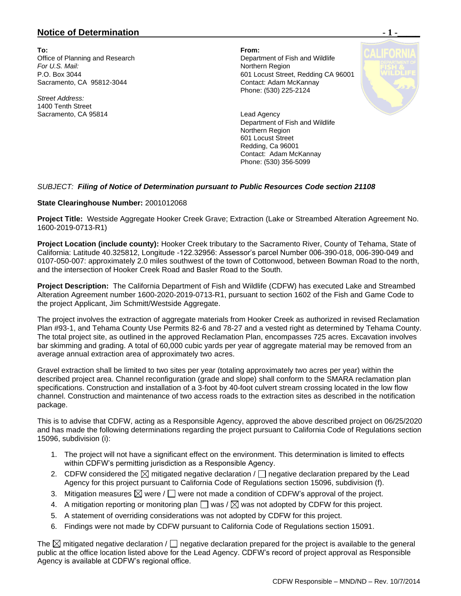## **Notice of Determination**  $\blacksquare$  **1 -**

**To: From:**  Office of Planning and Research Department of Fish and Wildlife **For U.S. Mail:** Northern Region Sacramento, CA 95812-3044

*Street Address:* 1400 Tenth Street Sacramento, CA 95814 **Lead Agency** 

P.O. Box 3044<br>
Sacramento, CA 95812-3044<br>
Contact: Adam McKannay Phone: (530) 225-2124

> Department of Fish and Wildlife Northern Region 601 Locust Street Redding, Ca 96001 Contact: Adam McKannay Phone: (530) 356-5099

### *SUBJECT: Filing of Notice of Determination pursuant to Public Resources Code section 21108*

#### **State Clearinghouse Number:** 2001012068

**Project Title:** Westside Aggregate Hooker Creek Grave; Extraction (Lake or Streambed Alteration Agreement No. 1600-2019-0713-R1)

**Project Location (include county):** Hooker Creek tributary to the Sacramento River, County of Tehama, State of California: Latitude 40.325812, Longitude -122.32956: Assessor's parcel Number 006-390-018, 006-390-049 and 0107-050-007: approximately 2.0 miles southwest of the town of Cottonwood, between Bowman Road to the north, and the intersection of Hooker Creek Road and Basler Road to the South.

**Project Description:** The California Department of Fish and Wildlife (CDFW) has executed Lake and Streambed Alteration Agreement number 1600-2020-2019-0713-R1, pursuant to section 1602 of the Fish and Game Code to the project Applicant, Jim Schmitt/Westside Aggregate.

The project involves the extraction of aggregate materials from Hooker Creek as authorized in revised Reclamation Plan #93-1, and Tehama County Use Permits 82-6 and 78-27 and a vested right as determined by Tehama County. The total project site, as outlined in the approved Reclamation Plan, encompasses 725 acres. Excavation involves bar skimming and grading. A total of 60,000 cubic yards per year of aggregate material may be removed from an average annual extraction area of approximately two acres.

Gravel extraction shall be limited to two sites per year (totaling approximately two acres per year) within the described project area. Channel reconfiguration (grade and slope) shall conform to the SMARA reclamation plan specifications. Construction and installation of a 3-foot by 40-foot culvert stream crossing located in the low flow channel. Construction and maintenance of two access roads to the extraction sites as described in the notification package.

This is to advise that CDFW, acting as a Responsible Agency, approved the above described project on 06/25/2020 and has made the following determinations regarding the project pursuant to California Code of Regulations section 15096, subdivision (i):

- 1. The project will not have a significant effect on the environment. This determination is limited to effects within CDFW's permitting jurisdiction as a Responsible Agency.
- 2. CDFW considered the  $\boxtimes$  mitigated negative declaration /  $\Box$  negative declaration prepared by the Lead Agency for this project pursuant to California Code of Regulations section 15096, subdivision (f).
- 3. Mitigation measures  $\boxtimes$  were /  $\Box$  were not made a condition of CDFW's approval of the project.
- 4. A mitigation reporting or monitoring plan  $\Box$  was /  $\boxtimes$  was not adopted by CDFW for this project.
- 5. A statement of overriding considerations was not adopted by CDFW for this project.
- 6. Findings were not made by CDFW pursuant to California Code of Regulations section 15091.

The  $\boxtimes$  mitigated negative declaration /  $\Box$  negative declaration prepared for the project is available to the general public at the office location listed above for the Lead Agency. CDFW's record of project approval as Responsible Agency is available at CDFW's regional office.